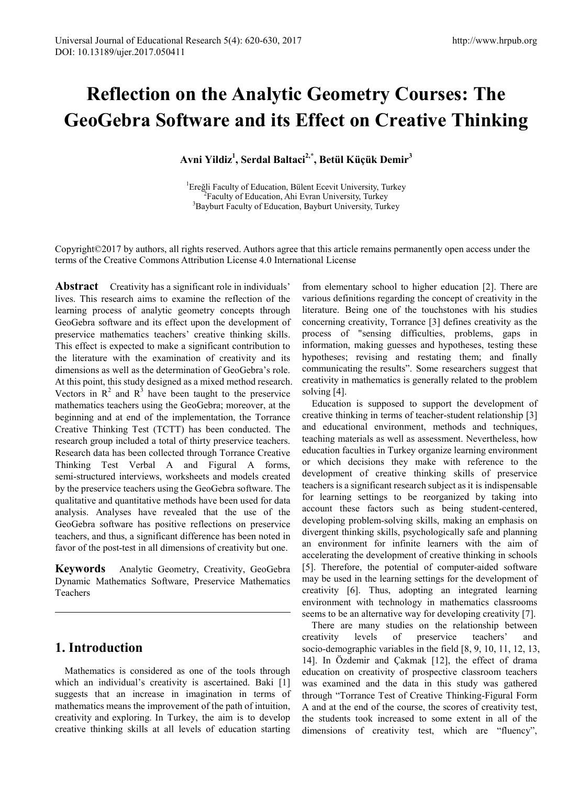# **Reflection on the Analytic Geometry Courses: The GeoGebra Software and its Effect on Creative Thinking**

**Avni Yildiz1 , Serdal Baltaci2,\*, Betül Küçük Demir<sup>3</sup>**

<sup>1</sup>Ereğli Faculty of Education, Bülent Ecevit University, Turkey <sup>2</sup>Eaculty of Education, Abi Eyran University, Turkey <sup>2</sup> Faculty of Education, Ahi Evran University, Turkey <sup>3</sup>Bayburt Faculty of Education, Bayburt University, Turkey

Copyright©2017 by authors, all rights reserved. Authors agree that this article remains permanently open access under the terms of the Creative Commons Attribution License 4.0 International License

**Abstract** Creativity has a significant role in individuals' lives. This research aims to examine the reflection of the learning process of analytic geometry concepts through GeoGebra software and its effect upon the development of preservice mathematics teachers' creative thinking skills. This effect is expected to make a significant contribution to the literature with the examination of creativity and its dimensions as well as the determination of GeoGebra's role. At this point, this study designed as a mixed method research. Vectors in  $R^2$  and  $R^3$  have been taught to the preservice mathematics teachers using the GeoGebra; moreover, at the beginning and at end of the implementation, the Torrance Creative Thinking Test (TCTT) has been conducted. The research group included a total of thirty preservice teachers. Research data has been collected through Torrance Creative Thinking Test Verbal A and Figural A forms, semi-structured interviews, worksheets and models created by the preservice teachers using the GeoGebra software. The qualitative and quantitative methods have been used for data analysis. Analyses have revealed that the use of the GeoGebra software has positive reflections on preservice teachers, and thus, a significant difference has been noted in favor of the post-test in all dimensions of creativity but one.

**Keywords** Analytic Geometry, Creativity, GeoGebra Dynamic Mathematics Software, Preservice Mathematics Teachers

# **1. Introduction**

Mathematics is considered as one of the tools through which an individual's creativity is ascertained. Baki [1] suggests that an increase in imagination in terms of mathematics means the improvement of the path of intuition, creativity and exploring. In Turkey, the aim is to develop creative thinking skills at all levels of education starting

from elementary school to higher education [2]. There are various definitions regarding the concept of creativity in the literature. Being one of the touchstones with his studies concerning creativity, Torrance [3] defines creativity as the process of "sensing difficulties, problems, gaps in information, making guesses and hypotheses, testing these hypotheses; revising and restating them; and finally communicating the results". Some researchers suggest that creativity in mathematics is generally related to the problem solving [4].

Education is supposed to support the development of creative thinking in terms of teacher-student relationship [3] and educational environment, methods and techniques, teaching materials as well as assessment. Nevertheless, how education faculties in Turkey organize learning environment or which decisions they make with reference to the development of creative thinking skills of preservice teachers is a significant research subject as it is indispensable for learning settings to be reorganized by taking into account these factors such as being student-centered, developing problem-solving skills, making an emphasis on divergent thinking skills, psychologically safe and planning an environment for infinite learners with the aim of accelerating the development of creative thinking in schools [5]. Therefore, the potential of computer-aided software may be used in the learning settings for the development of creativity [6]. Thus, adopting an integrated learning environment with technology in mathematics classrooms seems to be an alternative way for developing creativity [7].

There are many studies on the relationship between creativity levels of preservice teachers' and socio-demographic variables in the field [8, 9, 10, 11, 12, 13, 14]. In Özdemir and Çakmak [12], the effect of drama education on creativity of prospective classroom teachers was examined and the data in this study was gathered through "Torrance Test of Creative Thinking-Figural Form A and at the end of the course, the scores of creativity test, the students took increased to some extent in all of the dimensions of creativity test, which are "fluency",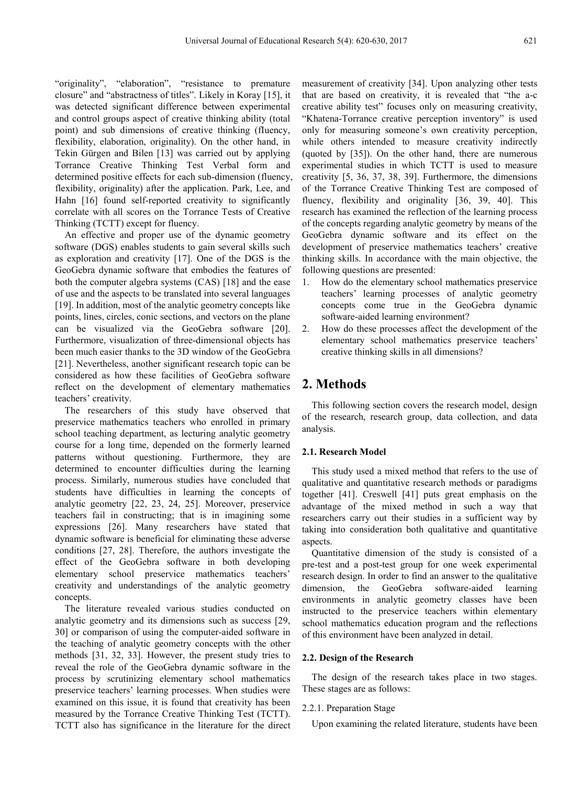"originality", "elaboration", "resistance to premature closure" and "abstractness of titles". Likely in Koray [15], it was detected significant difference between experimental and control groups aspect of creative thinking ability (total point) and sub dimensions of creative thinking (fIuency, flexibility, elaboration, originality). On the other hand, in Tekin Gürgen and Bilen [13] was carried out by applying Torrance Creative Thinking Test Verbal form and determined positive effects for each sub-dimension (fluency, flexibility, originality) after the application. Park, Lee, and Hahn [16] found self-reported creativity to significantly correlate with all scores on the Torrance Tests of Creative Thinking (TCTT) except for fluency.

An effective and proper use of the dynamic geometry software (DGS) enables students to gain several skills such as exploration and creativity [17]. One of the DGS is the GeoGebra dynamic software that embodies the features of both the computer algebra systems (CAS) [18] and the ease of use and the aspects to be translated into several languages [19]. In addition, most of the analytic geometry concepts like points, lines, circles, conic sections, and vectors on the plane can be visualized via the GeoGebra software [20]. Furthermore, visualization of three-dimensional objects has been much easier thanks to the 3D window of the GeoGebra [21]. Nevertheless, another significant research topic can be considered as how these facilities of GeoGebra software reflect on the development of elementary mathematics teachers' creativity.

The researchers of this study have observed that preservice mathematics teachers who enrolled in primary school teaching department, as lecturing analytic geometry course for a long time, depended on the formerly learned patterns without questioning. Furthermore, they are determined to encounter difficulties during the learning process. Similarly, numerous studies have concluded that students have difficulties in learning the concepts of analytic geometry [22, 23, 24, 25]. Moreover, preservice teachers fail in constructing; that is in imagining some expressions [26]. Many researchers have stated that dynamic software is beneficial for eliminating these adverse conditions [27, 28]. Therefore, the authors investigate the effect of the GeoGebra software in both developing elementary school preservice mathematics teachers' creativity and understandings of the analytic geometry concepts.

The literature revealed various studies conducted on analytic geometry and its dimensions such as success [29, 30] or comparison of using the computer-aided software in the teaching of analytic geometry concepts with the other methods [31, 32, 33]. However, the present study tries to reveal the role of the GeoGebra dynamic software in the process by scrutinizing elementary school mathematics preservice teachers' learning processes. When studies were examined on this issue, it is found that creativity has been measured by the Torrance Creative Thinking Test (TCTT). TCTT also has significance in the literature for the direct measurement of creativity [34]. Upon analyzing other tests that are based on creativity, it is revealed that "the a-c creative ability test" focuses only on measuring creativity, "Khatena-Torrance creative perception inventory" is used only for measuring someone's own creativity perception, while others intended to measure creativity indirectly (quoted by [35]). On the other hand, there are numerous experimental studies in which TCTT is used to measure creativity [5, 36, 37, 38, 39]. Furthermore, the dimensions of the Torrance Creative Thinking Test are composed of fluency, flexibility and originality [36, 39, 40]. This research has examined the reflection of the learning process of the concepts regarding analytic geometry by means of the GeoGebra dynamic software and its effect on the development of preservice mathematics teachers' creative thinking skills. In accordance with the main objective, the following questions are presented:

- 1. How do the elementary school mathematics preservice teachers' learning processes of analytic geometry concepts come true in the GeoGebra dynamic software-aided learning environment?
- 2. How do these processes affect the development of the elementary school mathematics preservice teachers' creative thinking skills in all dimensions?

## **2. Methods**

This following section covers the research model, design of the research, research group, data collection, and data analysis.

#### **2.1. Research Model**

This study used a mixed method that refers to the use of qualitative and quantitative research methods or paradigms together [41]. Creswell [41] puts great emphasis on the advantage of the mixed method in such a way that researchers carry out their studies in a sufficient way by taking into consideration both qualitative and quantitative aspects.

Quantitative dimension of the study is consisted of a pre-test and a post-test group for one week experimental research design. In order to find an answer to the qualitative dimension, the GeoGebra software-aided learning environments in analytic geometry classes have been instructed to the preservice teachers within elementary school mathematics education program and the reflections of this environment have been analyzed in detail.

#### **2.2. Design of the Research**

The design of the research takes place in two stages. These stages are as follows:

#### 2.2.1. Preparation Stage

Upon examining the related literature, students have been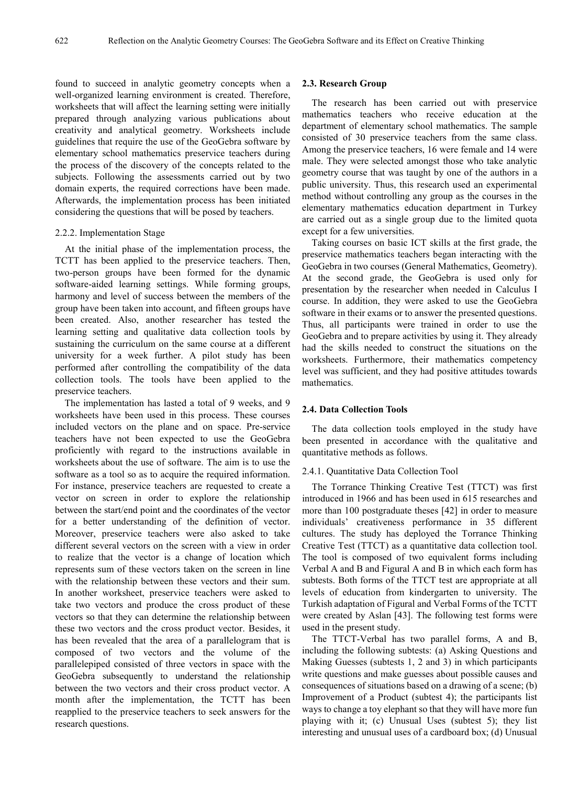found to succeed in analytic geometry concepts when a well-organized learning environment is created. Therefore, worksheets that will affect the learning setting were initially prepared through analyzing various publications about creativity and analytical geometry. Worksheets include guidelines that require the use of the GeoGebra software by elementary school mathematics preservice teachers during the process of the discovery of the concepts related to the subjects. Following the assessments carried out by two domain experts, the required corrections have been made. Afterwards, the implementation process has been initiated considering the questions that will be posed by teachers.

#### 2.2.2. Implementation Stage

At the initial phase of the implementation process, the TCTT has been applied to the preservice teachers. Then, two-person groups have been formed for the dynamic software-aided learning settings. While forming groups, harmony and level of success between the members of the group have been taken into account, and fifteen groups have been created. Also, another researcher has tested the learning setting and qualitative data collection tools by sustaining the curriculum on the same course at a different university for a week further. A pilot study has been performed after controlling the compatibility of the data collection tools. The tools have been applied to the preservice teachers.

The implementation has lasted a total of 9 weeks, and 9 worksheets have been used in this process. These courses included vectors on the plane and on space. Pre-service teachers have not been expected to use the GeoGebra proficiently with regard to the instructions available in worksheets about the use of software. The aim is to use the software as a tool so as to acquire the required information. For instance, preservice teachers are requested to create a vector on screen in order to explore the relationship between the start/end point and the coordinates of the vector for a better understanding of the definition of vector. Moreover, preservice teachers were also asked to take different several vectors on the screen with a view in order to realize that the vector is a change of location which represents sum of these vectors taken on the screen in line with the relationship between these vectors and their sum. In another worksheet, preservice teachers were asked to take two vectors and produce the cross product of these vectors so that they can determine the relationship between these two vectors and the cross product vector. Besides, it has been revealed that the area of a parallelogram that is composed of two vectors and the volume of the parallelepiped consisted of three vectors in space with the GeoGebra subsequently to understand the relationship between the two vectors and their cross product vector. A month after the implementation, the TCTT has been reapplied to the preservice teachers to seek answers for the research questions.

#### **2.3. Research Group**

The research has been carried out with preservice mathematics teachers who receive education at the department of elementary school mathematics. The sample consisted of 30 preservice teachers from the same class. Among the preservice teachers, 16 were female and 14 were male. They were selected amongst those who take analytic geometry course that was taught by one of the authors in a public university. Thus, this research used an experimental method without controlling any group as the courses in the elementary mathematics education department in Turkey are carried out as a single group due to the limited quota except for a few universities.

Taking courses on basic ICT skills at the first grade, the preservice mathematics teachers began interacting with the GeoGebra in two courses (General Mathematics, Geometry). At the second grade, the GeoGebra is used only for presentation by the researcher when needed in Calculus I course. In addition, they were asked to use the GeoGebra software in their exams or to answer the presented questions. Thus, all participants were trained in order to use the GeoGebra and to prepare activities by using it. They already had the skills needed to construct the situations on the worksheets. Furthermore, their mathematics competency level was sufficient, and they had positive attitudes towards mathematics.

#### **2.4. Data Collection Tools**

The data collection tools employed in the study have been presented in accordance with the qualitative and quantitative methods as follows.

#### 2.4.1. Quantitative Data Collection Tool

The Torrance Thinking Creative Test (TTCT) was first introduced in 1966 and has been used in 615 researches and more than 100 postgraduate theses [42] in order to measure individuals' creativeness performance in 35 different cultures. The study has deployed the Torrance Thinking Creative Test (TTCT) as a quantitative data collection tool. The tool is composed of two equivalent forms including Verbal A and B and Figural A and B in which each form has subtests. Both forms of the TTCT test are appropriate at all levels of education from kindergarten to university. The Turkish adaptation of Figural and Verbal Forms of the TCTT were created by Aslan [43]. The following test forms were used in the present study.

The TTCT-Verbal has two parallel forms, A and B, including the following subtests: (a) Asking Questions and Making Guesses (subtests 1, 2 and 3) in which participants write questions and make guesses about possible causes and consequences of situations based on a drawing of a scene; (b) Improvement of a Product (subtest 4); the participants list ways to change a toy elephant so that they will have more fun playing with it; (c) Unusual Uses (subtest 5); they list interesting and unusual uses of a cardboard box; (d) Unusual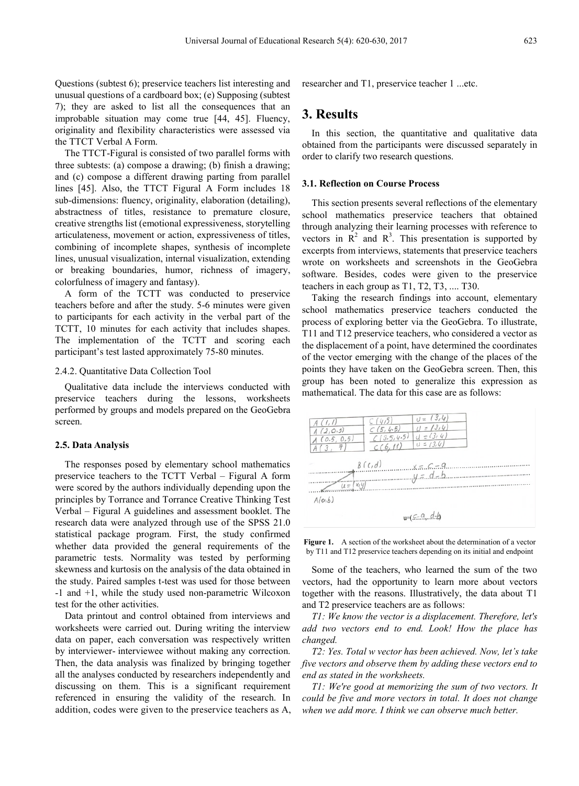Questions (subtest 6); preservice teachers list interesting and unusual questions of a cardboard box; (e) Supposing (subtest 7); they are asked to list all the consequences that an improbable situation may come true [44, 45]. Fluency, originality and flexibility characteristics were assessed via the TTCT Verbal A Form.

The TTCT-Figural is consisted of two parallel forms with three subtests: (a) compose a drawing; (b) finish a drawing; and (c) compose a different drawing parting from parallel lines [45]. Also, the TTCT Figural A Form includes 18 sub-dimensions: fluency, originality, elaboration (detailing), abstractness of titles, resistance to premature closure, creative strengths list (emotional expressiveness, storytelling articulateness, movement or action, expressiveness of titles, combining of incomplete shapes, synthesis of incomplete lines, unusual visualization, internal visualization, extending or breaking boundaries, humor, richness of imagery, colorfulness of imagery and fantasy).

A form of the TCTT was conducted to preservice teachers before and after the study. 5-6 minutes were given to participants for each activity in the verbal part of the TCTT, 10 minutes for each activity that includes shapes. The implementation of the TCTT and scoring each participant's test lasted approximately 75-80 minutes.

#### 2.4.2. Quantitative Data Collection Tool

Qualitative data include the interviews conducted with preservice teachers during the lessons, worksheets performed by groups and models prepared on the GeoGebra screen.

#### **2.5. Data Analysis**

The responses posed by elementary school mathematics preservice teachers to the TCTT Verbal – Figural A form were scored by the authors individually depending upon the principles by Torrance and Torrance Creative Thinking Test Verbal – Figural A guidelines and assessment booklet. The research data were analyzed through use of the SPSS 21.0 statistical package program. First, the study confirmed whether data provided the general requirements of the parametric tests. Normality was tested by performing skewness and kurtosis on the analysis of the data obtained in the study. Paired samples t-test was used for those between -1 and +1, while the study used non-parametric Wilcoxon test for the other activities.

Data printout and control obtained from interviews and worksheets were carried out. During writing the interview data on paper, each conversation was respectively written by interviewer- interviewee without making any correction. Then, the data analysis was finalized by bringing together all the analyses conducted by researchers independently and discussing on them. This is a significant requirement referenced in ensuring the validity of the research. In addition, codes were given to the preservice teachers as A, researcher and T1, preservice teacher 1 ...etc.

## **3. Results**

In this section, the quantitative and qualitative data obtained from the participants were discussed separately in order to clarify two research questions.

#### **3.1. Reflection on Course Process**

This section presents several reflections of the elementary school mathematics preservice teachers that obtained through analyzing their learning processes with reference to vectors in  $\mathbb{R}^2$  and  $\mathbb{R}^3$ . This presentation is supported by excerpts from interviews, statements that preservice teachers wrote on worksheets and screenshots in the GeoGebra software. Besides, codes were given to the preservice teachers in each group as T1, T2, T3, .... T30.

Taking the research findings into account, elementary school mathematics preservice teachers conducted the process of exploring better via the GeoGebra. To illustrate, T11 and T12 preservice teachers, who considered a vector as the displacement of a point, have determined the coordinates of the vector emerging with the change of the places of the points they have taken on the GeoGebra screen. Then, this group has been noted to generalize this expression as mathematical. The data for this case are as follows:



**Figure 1.** A section of the worksheet about the determination of a vector by T11 and T12 preservice teachers depending on its initial and endpoint

Some of the teachers, who learned the sum of the two vectors, had the opportunity to learn more about vectors together with the reasons. Illustratively, the data about T1 and T2 preservice teachers are as follows:

*T1: We know the vector is a displacement. Therefore, let's add two vectors end to end. Look! How the place has changed.*

*T2: Yes. Total w vector has been achieved. Now, let's take five vectors and observe them by adding these vectors end to end as stated in the worksheets.*

*T1: We're good at memorizing the sum of two vectors. It could be five and more vectors in total. It does not change when we add more. I think we can observe much better.*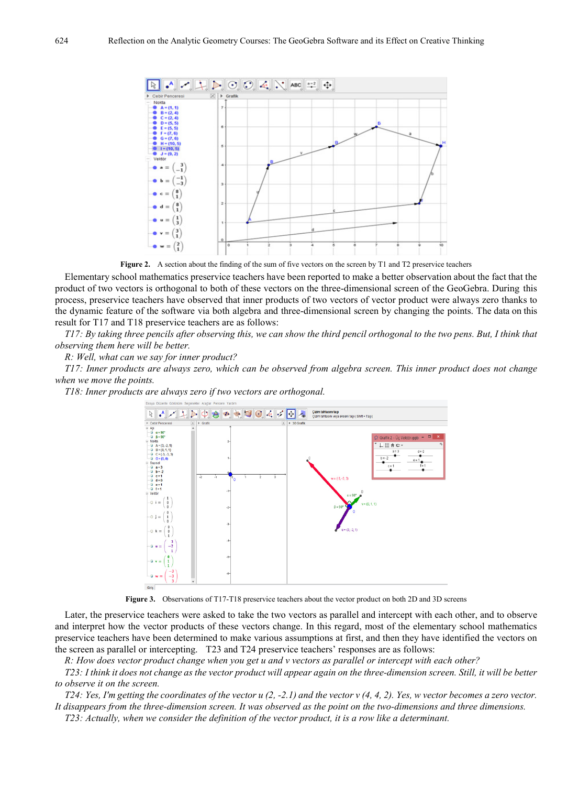

**Figure 2.** A section about the finding of the sum of five vectors on the screen by T1 and T2 preservice teachers

Elementary school mathematics preservice teachers have been reported to make a better observation about the fact that the product of two vectors is orthogonal to both of these vectors on the three-dimensional screen of the GeoGebra. During this process, preservice teachers have observed that inner products of two vectors of vector product were always zero thanks to the dynamic feature of the software via both algebra and three-dimensional screen by changing the points. The data on this result for T17 and T18 preservice teachers are as follows:

T17: By taking three pencils after observing this, we can show the third pencil orthogonal to the two pens. But, I think that *observing them here will be better.*

*R: Well, what can we say for inner product?*

T17: Inner products are always zero, which can be observed from algebra screen. This inner product does not change *when we move the points.*

*T18: Inner products are always zero if two vectors are orthogonal.*



**Figure 3.** Observations of T17-T18 preservice teachers about the vector product on both 2D and 3D screens

Later, the preservice teachers were asked to take the two vectors as parallel and intercept with each other, and to observe and interpret how the vector products of these vectors change. In this regard, most of the elementary school mathematics preservice teachers have been determined to make various assumptions at first, and then they have identified the vectors on the screen as parallel or intercepting. T23 and T24 preservice teachers' responses are as follows:

R: How does vector product change when you get u and v vectors as parallel or intercept with each other?

T23: I think it does not change as the vector product will appear again on the three-dimension screen. Still, it will be better *to observe it on the screen.*

T24: Yes, I'm getting the coordinates of the vector  $u(2, -2.1)$  and the vector  $v(4, 4, 2)$ . Yes, w vector becomes a zero vector. It disappears from the three-dimension screen. It was observed as the point on the two-dimensions and three dimensions.

T23: Actually, when we consider the definition of the vector product, it is a row like a determinant.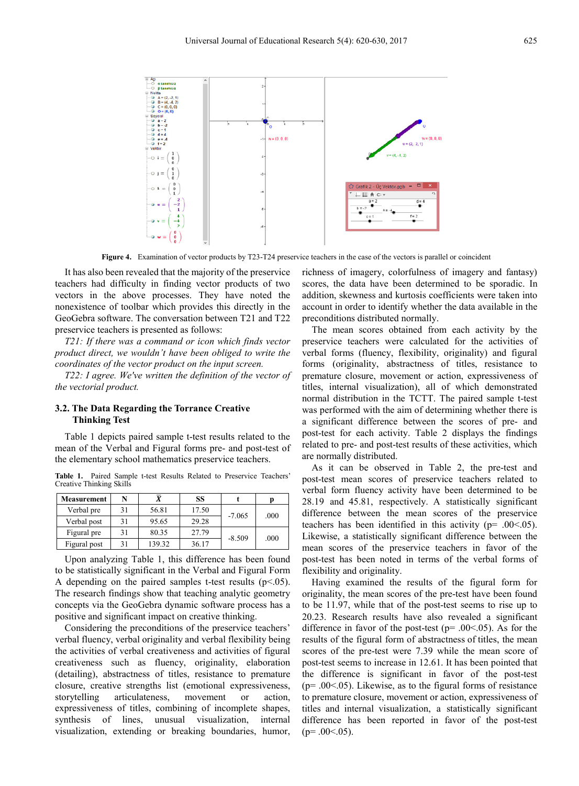

**Figure 4.** Examination of vector products by T23-T24 preservice teachers in the case of the vectors is parallel or coincident

It has also been revealed that the majority of the preservice teachers had difficulty in finding vector products of two vectors in the above processes. They have noted the nonexistence of toolbar which provides this directly in the GeoGebra software. The conversation between T21 and T22 preservice teachers is presented as follows:

*T21: If there was a command or icon which finds vector product direct, we wouldn't have been obliged to write the coordinates of the vector product on the input screen.*

*T22: I agree. We've written the definition of the vector of the vectorial product.*

#### **3.2. The Data Regarding the Torrance Creative Thinking Test**

Table 1 depicts paired sample t-test results related to the mean of the Verbal and Figural forms pre- and post-test of the elementary school mathematics preservice teachers.

**Table 1.** Paired Sample t-test Results Related to Preservice Teachers' Creative Thinking Skills

| <b>Measurement</b> | N  |        | SS    |          |      |
|--------------------|----|--------|-------|----------|------|
| Verbal pre         | 31 | 56.81  | 17.50 |          | .000 |
| Verbal post        | 31 | 95.65  | 29.28 | $-7.065$ |      |
| Figural pre        | 31 | 80.35  | 27.79 | $-8.509$ | .000 |
| Figural post       | 31 | 139.32 | 36.17 |          |      |

Upon analyzing Table 1, this difference has been found to be statistically significant in the Verbal and Figural Form A depending on the paired samples t-test results  $(p<0.05)$ . The research findings show that teaching analytic geometry concepts via the GeoGebra dynamic software process has a positive and significant impact on creative thinking.

Considering the preconditions of the preservice teachers' verbal fluency, verbal originality and verbal flexibility being the activities of verbal creativeness and activities of figural creativeness such as fluency, originality, elaboration (detailing), abstractness of titles, resistance to premature closure, creative strengths list (emotional expressiveness, storytelling articulateness, movement or action, expressiveness of titles, combining of incomplete shapes, synthesis of lines, unusual visualization, internal visualization, extending or breaking boundaries, humor, richness of imagery, colorfulness of imagery and fantasy) scores, the data have been determined to be sporadic. In addition, skewness and kurtosis coefficients were taken into account in order to identify whether the data available in the preconditions distributed normally.

The mean scores obtained from each activity by the preservice teachers were calculated for the activities of verbal forms (fluency, flexibility, originality) and figural forms (originality, abstractness of titles, resistance to premature closure, movement or action, expressiveness of titles, internal visualization), all of which demonstrated normal distribution in the TCTT. The paired sample t-test was performed with the aim of determining whether there is a significant difference between the scores of pre- and post-test for each activity. Table 2 displays the findings related to pre- and post-test results of these activities, which are normally distributed.

As it can be observed in Table 2, the pre-test and post-test mean scores of preservice teachers related to verbal form fluency activity have been determined to be 28.19 and 45.81, respectively. A statistically significant difference between the mean scores of the preservice teachers has been identified in this activity (p= .00<.05). Likewise, a statistically significant difference between the mean scores of the preservice teachers in favor of the post-test has been noted in terms of the verbal forms of flexibility and originality.

Having examined the results of the figural form for originality, the mean scores of the pre-test have been found to be 11.97, while that of the post-test seems to rise up to 20.23. Research results have also revealed a significant difference in favor of the post-test ( $p = .00 \le 0.05$ ). As for the results of the figural form of abstractness of titles, the mean scores of the pre-test were 7.39 while the mean score of post-test seems to increase in 12.61. It has been pointed that the difference is significant in favor of the post-test  $(p= .00< .05)$ . Likewise, as to the figural forms of resistance to premature closure, movement or action, expressiveness of titles and internal visualization, a statistically significant difference has been reported in favor of the post-test  $(p=.00<.05)$ .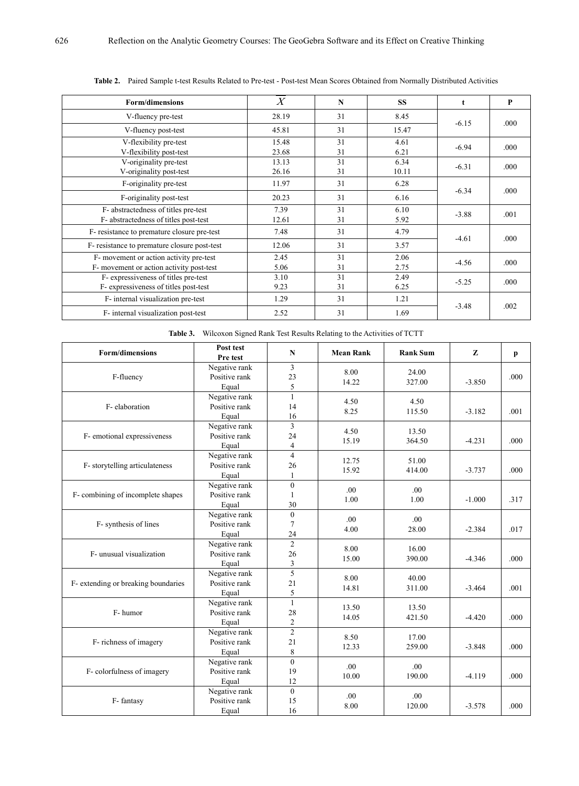| <b>Form/dimensions</b>                                                              | $\boldsymbol{X}$ | N        | <b>SS</b>     | t       | P    |
|-------------------------------------------------------------------------------------|------------------|----------|---------------|---------|------|
| V-fluency pre-test                                                                  | 28.19            | 31       | 8.45          | $-6.15$ | .000 |
| V-fluency post-test                                                                 | 45.81            | 31       | 15.47         |         |      |
| V-flexibility pre-test<br>V-flexibility post-test                                   | 15.48<br>23.68   | 31<br>31 | 4.61<br>6.21  | $-6.94$ | .000 |
| V-originality pre-test<br>V-originality post-test                                   | 13.13<br>26.16   | 31<br>31 | 6.34<br>10.11 | $-6.31$ | .000 |
| F-originality pre-test                                                              | 11.97            | 31       | 6.28          |         | .000 |
| F-originality post-test                                                             | 20.23            | 31       | 6.16          | $-6.34$ |      |
| F- abstractedness of titles pre-test<br>F- abstractedness of titles post-test       | 7.39<br>12.61    | 31<br>31 | 6.10<br>5.92  | $-3.88$ | .001 |
| F- resistance to premature closure pre-test                                         | 7.48             | 31       | 4.79          |         | .000 |
| F- resistance to premature closure post-test                                        | 12.06            | 31       | 3.57          | $-4.61$ |      |
| F- movement or action activity pre-test<br>F- movement or action activity post-test | 2.45<br>5.06     | 31<br>31 | 2.06<br>2.75  | $-4.56$ | .000 |
| F- expressiveness of titles pre-test<br>F- expressiveness of titles post-test       | 3.10<br>9.23     | 31<br>31 | 2.49<br>6.25  | $-5.25$ | .000 |
| F- internal visualization pre-test                                                  | 1.29             | 31       | 1.21          |         | .002 |
| F- internal visualization post-test                                                 | 2.52             | 31       | 1.69          | $-3.48$ |      |

**Table 2.** Paired Sample t-test Results Related to Pre-test - Post-test Mean Scores Obtained from Normally Distributed Activities

| Table 3. Wilcoxon Signed Rank Test Results Relating to the Activities of TCTT |  |
|-------------------------------------------------------------------------------|--|
|-------------------------------------------------------------------------------|--|

| <b>Form/dimensions</b>              | Post test<br>Pre test                   | $\mathbf N$                            | <b>Mean Rank</b>         | <b>Rank Sum</b> | Z        | $\mathbf{p}$ |
|-------------------------------------|-----------------------------------------|----------------------------------------|--------------------------|-----------------|----------|--------------|
| F-fluency                           | Negative rank<br>Positive rank<br>Equal | 3<br>23<br>5                           | 8.00<br>14.22            | 24.00<br>327.00 | $-3.850$ | .000         |
| F-elaboration                       | Negative rank<br>Positive rank<br>Equal | $\mathbf{1}$<br>14<br>16               | 4.50<br>8.25             | 4.50<br>115.50  | $-3.182$ | .001         |
| F- emotional expressiveness         | Negative rank<br>Positive rank<br>Equal | $\overline{3}$<br>24<br>$\overline{4}$ | 4.50<br>15.19            | 13.50<br>364.50 | $-4.231$ | .000         |
| F-storytelling articulateness       | Negative rank<br>Positive rank<br>Equal | $\overline{4}$<br>26<br>1              | 12.75<br>15.92           | 51.00<br>414.00 | $-3.737$ | .000         |
| F- combining of incomplete shapes   | Negative rank<br>Positive rank<br>Equal | $\mathbf{0}$<br>1<br>30                | .00 <sub>1</sub><br>1.00 | .00<br>1.00     | $-1.000$ | .317         |
| F- synthesis of lines               | Negative rank<br>Positive rank<br>Equal | $\mathbf{0}$<br>7<br>24                | .00 <sub>1</sub><br>4.00 | .00.<br>28.00   | $-2.384$ | .017         |
| F- unusual visualization            | Negative rank<br>Positive rank<br>Equal | $\overline{2}$<br>26<br>3              | 8.00<br>15.00            | 16.00<br>390.00 | $-4.346$ | .000         |
| F- extending or breaking boundaries | Negative rank<br>Positive rank<br>Equal | 5<br>21<br>5                           | 8.00<br>14.81            | 40.00<br>311.00 | $-3.464$ | .001         |
| F- humor                            | Negative rank<br>Positive rank<br>Equal | $\mathbf{1}$<br>28<br>$\overline{c}$   | 13.50<br>14.05           | 13.50<br>421.50 | $-4.420$ | .000         |
| F- richness of imagery              | Negative rank<br>Positive rank<br>Equal | $\overline{2}$<br>21<br>8              | 8.50<br>12.33            | 17.00<br>259.00 | $-3.848$ | .000.        |
| F-colorfulness of imagery           | Negative rank<br>Positive rank<br>Equal | $\theta$<br>19<br>12                   | .00.<br>10.00            | .00.<br>190.00  | $-4.119$ | .000         |
| F-fantasy                           | Negative rank<br>Positive rank<br>Equal | $\mathbf{0}$<br>15<br>16               | .00<br>8.00              | .00<br>120.00   | $-3.578$ | .000         |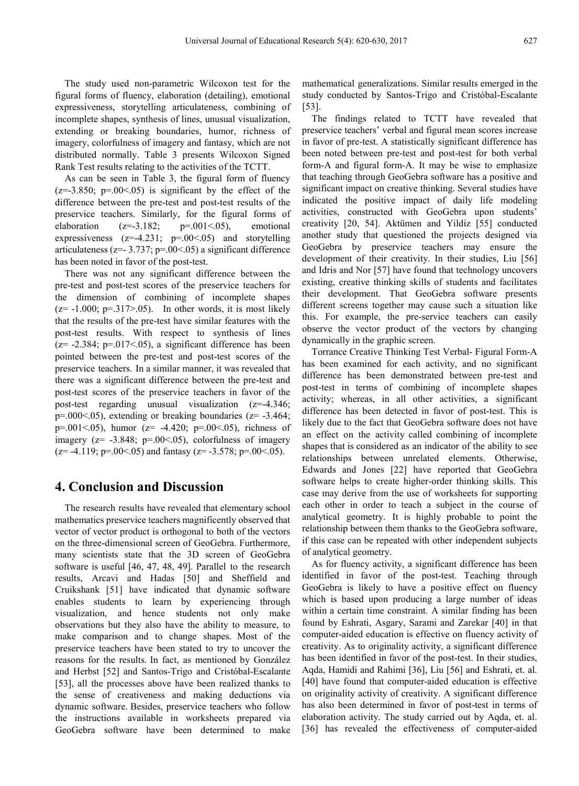The study used non-parametric Wilcoxon test for the figural forms of fluency, elaboration (detailing), emotional expressiveness, storytelling articulateness, combining of incomplete shapes, synthesis of lines, unusual visualization, extending or breaking boundaries, humor, richness of imagery, colorfulness of imagery and fantasy, which are not distributed normally. Table 3 presents Wilcoxon Signed Rank Test results relating to the activities of the TCTT.

As can be seen in Table 3, the figural form of fluency  $(z=3.850; p=.00<0.05)$  is significant by the effect of the difference between the pre-test and post-test results of the preservice teachers. Similarly, for the figural forms of elaboration  $(z=-3.182; \text{ }$  p=.001<.05), emotional expressiveness  $(z=4.231; p=.00<0.05)$  and storytelling articulateness ( $z=- 3.737$ ;  $p=-00(0.05)$  a significant difference has been noted in favor of the post-test.

There was not any significant difference between the pre-test and post-test scores of the preservice teachers for the dimension of combining of incomplete shapes  $(z= -1.000; p=.317>0.05)$ . In other words, it is most likely that the results of the pre-test have similar features with the post-test results. With respect to synthesis of lines  $(z= -2.384; p= .017< .05)$ , a significant difference has been pointed between the pre-test and post-test scores of the preservice teachers. In a similar manner, it was revealed that there was a significant difference between the pre-test and post-test scores of the preservice teachers in favor of the post-test regarding unusual visualization (z=-4.346;  $p=.000-.05$ , extending or breaking boundaries ( $z=-3.464$ ; p=.001<.05), humor ( $z=$  -4.420; p=.00<.05), richness of imagery ( $z = -3.848$ ;  $p = .00 < .05$ ), colorfulness of imagery  $(z= -4.119; p=0.0005)$  and fantasy  $(z= -3.578; p=0.00005)$ .

### **4. Conclusion and Discussion**

The research results have revealed that elementary school mathematics preservice teachers magnificently observed that vector of vector product is orthogonal to both of the vectors on the three-dimensional screen of GeoGebra. Furthermore, many scientists state that the 3D screen of GeoGebra software is useful [46, 47, 48, 49]. Parallel to the research results, Arcavi and Hadas [50] and Sheffield and Cruikshank [51] have indicated that dynamic software enables students to learn by experiencing through visualization, and hence students not only make observations but they also have the ability to measure, to make comparison and to change shapes. Most of the preservice teachers have been stated to try to uncover the reasons for the results. In fact, as mentioned by González and Herbst [52] and Santos-Trigo and Cristóbal-Escalante [53], all the processes above have been realized thanks to the sense of creativeness and making deductions via dynamic software. Besides, preservice teachers who follow the instructions available in worksheets prepared via GeoGebra software have been determined to make

mathematical generalizations. Similar results emerged in the study conducted by Santos-Trigo and Cristóbal-Escalante [53].

The findings related to TCTT have revealed that preservice teachers' verbal and figural mean scores increase in favor of pre-test. A statistically significant difference has been noted between pre-test and post-test for both verbal form-A and figural form-A. It may be wise to emphasize that teaching through GeoGebra software has a positive and significant impact on creative thinking. Several studies have indicated the positive impact of daily life modeling activities, constructed with GeoGebra upon students' creativity [20, 54]. Aktümen and Yildiz [55] conducted another study that questioned the projects designed via GeoGebra by preservice teachers may ensure the development of their creativity. In their studies, Liu [56] and Idris and Nor [57] have found that technology uncovers existing, creative thinking skills of students and facilitates their development. That GeoGebra software presents different screens together may cause such a situation like this. For example, the pre-service teachers can easily observe the vector product of the vectors by changing dynamically in the graphic screen.

Torrance Creative Thinking Test Verbal- Figural Form-A has been examined for each activity, and no significant difference has been demonstrated between pre-test and post-test in terms of combining of incomplete shapes activity; whereas, in all other activities, a significant difference has been detected in favor of post-test. This is likely due to the fact that GeoGebra software does not have an effect on the activity called combining of incomplete shapes that is considered as an indicator of the ability to see relationships between unrelated elements. Otherwise, Edwards and Jones [22] have reported that GeoGebra software helps to create higher-order thinking skills. This case may derive from the use of worksheets for supporting each other in order to teach a subject in the course of analytical geometry. It is highly probable to point the relationship between them thanks to the GeoGebra software, if this case can be repeated with other independent subjects of analytical geometry.

As for fluency activity, a significant difference has been identified in favor of the post-test. Teaching through GeoGebra is likely to have a positive effect on fluency which is based upon producing a large number of ideas within a certain time constraint. A similar finding has been found by Eshrati, Asgary, Sarami and Zarekar [40] in that computer-aided education is effective on fluency activity of creativity. As to originality activity, a significant difference has been identified in favor of the post-test. In their studies, Aqda, Hamidi and Rahimi [36], Liu [56] and Eshrati, et. al. [40] have found that computer-aided education is effective on originality activity of creativity. A significant difference has also been determined in favor of post-test in terms of elaboration activity. The study carried out by Aqda, et. al. [36] has revealed the effectiveness of computer-aided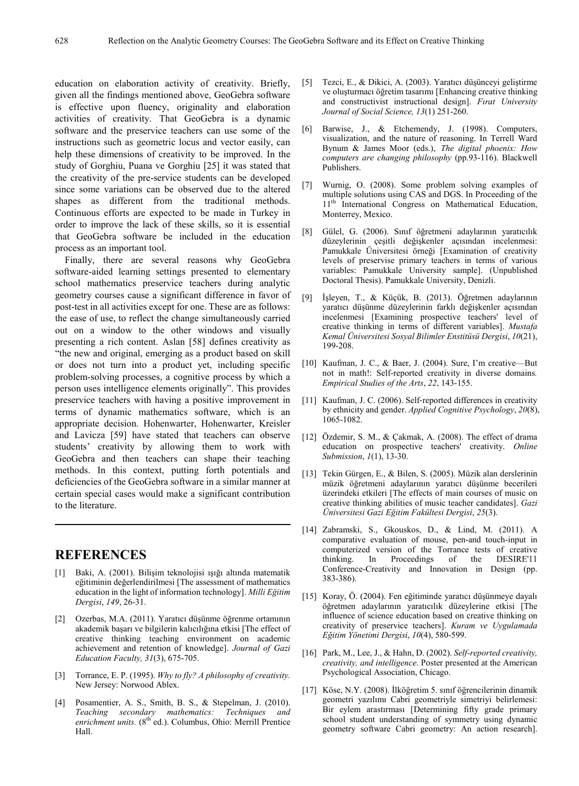education on elaboration activity of creativity. Briefly, given all the findings mentioned above, GeoGebra software is effective upon fluency, originality and elaboration activities of creativity. That GeoGebra is a dynamic software and the preservice teachers can use some of the instructions such as geometric locus and vector easily, can help these dimensions of creativity to be improved. In the study of Gorghiu, Puana ve Gorghiu [25] it was stated that the creativity of the pre-service students can be developed since some variations can be observed due to the altered shapes as different from the traditional methods. Continuous efforts are expected to be made in Turkey in order to improve the lack of these skills, so it is essential that GeoGebra software be included in the education process as an important tool.

Finally, there are several reasons why GeoGebra software-aided learning settings presented to elementary school mathematics preservice teachers during analytic geometry courses cause a significant difference in favor of post-test in all activities except for one. These are as follows: the ease of use, to reflect the change simultaneously carried out on a window to the other windows and visually presenting a rich content. Aslan [58] defines creativity as "the new and original, emerging as a product based on skill or does not turn into a product yet, including specific problem-solving processes, a cognitive process by which a person uses intelligence elements originally". This provides preservice teachers with having a positive improvement in terms of dynamic mathematics software, which is an appropriate decision. Hohenwarter, Hohenwarter, Kreisler and Lavicza [59] have stated that teachers can observe students' creativity by allowing them to work with GeoGebra and then teachers can shape their teaching methods. In this context, putting forth potentials and deficiencies of the GeoGebra software in a similar manner at certain special cases would make a significant contribution to the literature.

# **REFERENCES**

- [1] Baki, A. (2001). Bilişim teknolojisi ışığı altında matematik eğitiminin değerlendirilmesi [The assessment of mathematics education in the light of information technology]. *Milli Eğitim Dergisi*, *149*, 26-31.
- [2] Ozerbas, M.A. (2011). Yaratıcı düşünme öğrenme ortamının akademik başarı ve bilgilerin kalıcılığına etkisi [The effect of creative thinking teaching environment on academic achievement and retention of knowledge]. *Journal of Gazi Education Faculty, 31*(3), 675-705.
- [3] Torrance, E. P. (1995). *Why to fly? A philosophy of creativity.* New Jersey: Norwood Ablex.
- [4] Posamentier, A. S., Smith, B. S., & Stepelman, J. (2010). *Teaching secondary mathematics: Techniques and* enrichment *units.* (8<sup>th ed.</sup>). Columbus, Ohio: Merrill Prentice Hall.
- [5] Tezci, E., & Dikici, A. (2003). Yaratıcı düşünceyi geliştirme ve oluşturmacı öğretim tasarımı [Enhancing creative thinking and constructivist instructional design]. *Fırat University Journal of Social Science, 13*(1) 251-260.
- [6] Barwise, J., & Etchemendy, J. (1998). Computers, visualization, and the nature of reasoning. In Terrell Ward Bynum & James Moor (eds.), *The digital phoenix: How computers are changing philosophy* (pp.93-116). Blackwell Publishers.
- [7] Wurnig, O. (2008). Some problem solving examples of multiple solutions using CAS and DGS. In Proceeding of the 11<sup>th</sup> International Congress on Mathematical Education, Monterrey, Mexico.
- [8] Gülel, G. (2006). Sınıf öğretmeni adaylarının yaratıcılık düzeylerinin çeşitli değişkenler açısından incelenmesi: Pamukkale Üniversitesi örneği [Examination of creativity levels of preservise primary teachers in terms of various variables: Pamukkale University sample]. (Unpublished Doctoral Thesis). Pamukkale University, Denizli.
- [9] İşleyen, T., & Küçük, B. (2013). Öğretmen adaylarının yaratıcı düşünme düzeylerinin farklı değişkenler açısından incelenmesi [Examining prospective teachers' level of creative thinking in terms of different variables]. *Mustafa Kemal Üniversitesi Sosyal Bilimler Enstitüsü Dergisi*, *10*(21), 199-208.
- [10] Kaufman, J. C., & Baer, J. (2004). Sure, I'm creative—But not in math!: Self-reported creativity in diverse domains*. Empirical Studies of the Arts*, *22*, 143-155.
- [11] Kaufman, J. C. (2006). Self-reported differences in creativity by ethnicity and gender. *Applied Cognitive Psychology*, *20*(8), 1065-1082.
- [12] Özdemir, S. M., & Çakmak, A. (2008). The effect of drama education on prospective teachers' creativity. *Online Submission*, *1*(1), 13-30.
- [13] Tekin Gürgen, E., & Bilen, S. (2005). Müzik alan derslerinin müzik öğretmeni adaylarının yaratıcı düşünme becerileri üzerindeki etkileri [The effects of main courses of music on creative thinking abilities of music teacher candidates]. *Gazi Üniversitesi Gazi Eğitim Fakültesi Dergisi*, *25*(3).
- [14] Zabramski, S., Gkouskos, D., & Lind, M. (2011). A comparative evaluation of mouse, pen-and touch-input in computerized version of the Torrance tests of creative thinking. In Proceedings of the DESIRE'11 Conference-Creativity and Innovation in Design (pp. 383-386).
- [15] Koray, Ö. (2004). Fen eğitiminde yaratıcı düşünmeye dayalı öğretmen adaylarının yaratıcılık düzeylerine etkisi [The influence of science education based on creative thinking on creativity of preservice teachers]. *Kuram ve Uygulamada Eğitim Yönetimi Dergisi*, *10*(4), 580-599.
- [16] Park, M., Lee, J., & Hahn, D. (2002). *Self-reported creativity, creativity, and intelligence*. Poster presented at the American Psychological Association, Chicago.
- [17] Köse, N.Y. (2008). İlköğretim 5. sınıf öğrencilerinin dinamik geometri yazılımı Cabri geometriyle simetriyi belirlemesi: Bir eylem arastırması [Determining fifty grade primary school student understanding of symmetry using dynamic geometry software Cabri geometry: An action research].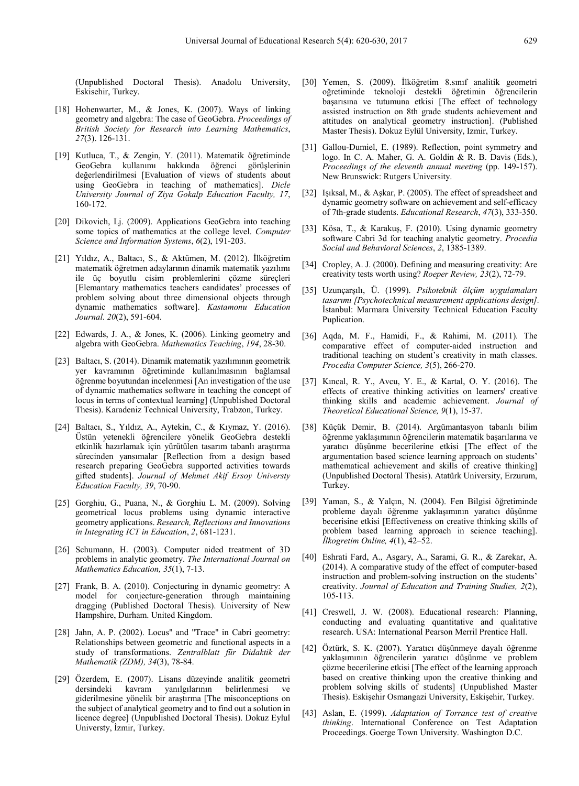(Unpublished Doctoral Thesis). Anadolu University, Eskisehir, Turkey.

- [18] Hohenwarter, M., & Jones, K. (2007). Ways of linking geometry and algebra: The case of GeoGebra. *Proceedings of British Society for Research into Learning Mathematics*, *27*(3). 126-131.
- [19] Kutluca, T., & Zengin, Y. (2011). Matematik öğretiminde GeoGebra kullanımı hakkında öğrenci görüşlerinin değerlendirilmesi [Evaluation of views of students about using GeoGebra in teaching of mathematics]. *Dicle University Journal of Ziya Gokalp Education Faculty, 17*, 160-172.
- [20] Dikovich, Lj. (2009). Applications GeoGebra into teaching some topics of mathematics at the college level. *Computer Science and Information Systems*, *6*(2), 191-203.
- [21] Yıldız, A., Baltacı, S., & Aktümen, M. (2012). İlköğretim matematik öğretmen adaylarının dinamik matematik yazılımı ile üç boyutlu cisim problemlerini çözme süreçleri [Elemantary mathematics teachers candidates' processes of problem solving about three dimensional objects through dynamic mathematics software]. *Kastamonu Education Journal. 20*(2), 591-604.
- [22] Edwards, J. A., & Jones, K. (2006). Linking geometry and algebra with GeoGebra. *Mathematics Teaching*, *194*, 28-30.
- [23] Baltacı, S. (2014). Dinamik matematik yazılımının geometrik yer kavramının öğretiminde kullanılmasının bağlamsal öğrenme boyutundan incelenmesi [An investigation of the use of dynamic mathematics software in teaching the concept of locus in terms of contextual learning] (Unpublished Doctoral Thesis). Karadeniz Technical University, Trabzon, Turkey.
- [24] Baltacı, S., Yıldız, A., Aytekin, C., & Kıymaz, Y. (2016). Üstün yetenekli öğrencilere yönelik GeoGebra destekli etkinlik hazırlamak için yürütülen tasarım tabanlı araştırma sürecinden yansımalar [Reflection from a design based research preparing GeoGebra supported activities towards gifted students]. *Journal of Mehmet Akif Ersoy Universty Education Faculty, 39*, 70-90.
- [25] Gorghiu, G., Puana, N., & Gorghiu L. M. (2009). Solving geometrical locus problems using dynamic interactive geometry applications. *Research, Reflections and Innovations in Integrating ICT in Education*, *2*, 681-1231.
- [26] Schumann, H. (2003). Computer aided treatment of 3D problems in analytic geometry. *The International Journal on Mathematics Education, 35*(1), 7-13.
- [27] Frank, B. A. (2010). Conjecturing in dynamic geometry: A model for conjecture-generation through maintaining dragging (Published Doctoral Thesis). University of New Hampshire, Durham. United Kingdom.
- [28] Jahn, A. P. (2002). Locus" and "Trace" in Cabri geometry: Relationships between geometric and functional aspects in a study of transformations. *Zentralblatt für Didaktik der Mathematik (ZDM), 34*(3), 78-84.
- [29] Özerdem, E. (2007). Lisans düzeyinde analitik geometri dersindeki kavram yanılgılarının belirlenmesi ve giderilmesine yönelik bir araştırma [The misconceptions on the subject of analytical geometry and to find out a solution in licence degree] (Unpublished Doctoral Thesis). Dokuz Eylul Universty, İzmir, Turkey.
- [30] Yemen, S. (2009). İlköğretim 8.sınıf analitik geometri oğretiminde teknoloji destekli öğretimin öğrencilerin başarısına ve tutumuna etkisi [The effect of technology assisted instruction on 8th grade students achievement and attitudes on analytical geometry instruction]. (Published Master Thesis). Dokuz Eylül University, Izmir, Turkey.
- [31] Gallou-Dumiel, E. (1989). Reflection, point symmetry and logo. In C. A. Maher, G. A. Goldin & R. B. Davis (Eds.), *Proceedings of the eleventh annual meeting* (pp. 149-157). New Brunswick: Rutgers University.
- [32] Işıksal, M., & Aşkar, P. (2005). The effect of spreadsheet and dynamic geometry software on achievement and self-efficacy of 7th-grade students. *Educational Research*, *47*(3), 333-350.
- [33] Kösa, T., & Karakuş, F. (2010). Using dynamic geometry software Cabri 3d for teaching analytic geometry. *Procedia Social and Behavioral Sciences*, *2*, 1385-1389.
- [34] Cropley, A. J. (2000). Defining and measuring creativity: Are creativity tests worth using? *Roeper Review, 23*(2), 72-79.
- [35] Uzunçarşılı, Ü. (1999). *Psikoteknik ölçüm uygulamaları tasarımı [Psychotechnical measurement applications design].* İstanbul: Marmara Üniversity Technical Education Faculty Puplication.
- [36] Aqda, M. F., Hamidi, F., & Rahimi, M. (2011). The comparative effect of computer-aided instruction and traditional teaching on student's creativity in math classes. *Procedia Computer Science, 3*(5), 266-270.
- [37] Kıncal, R. Y., Avcu, Y. E., & Kartal, O. Y. (2016). The effects of creative thinking activities on learners' creative thinking skills and academic achievement. *Journal of Theoretical Educational Science, 9*(1), 15-37.
- [38] Küçük Demir, B. (2014). Argümantasyon tabanlı bilim öğrenme yaklaşımının öğrencilerin matematik başarılarına ve yaratıcı düşünme becerilerine etkisi [The effect of the argumentation based science learning approach on students' mathematical achievement and skills of creative thinking] (Unpublished Doctoral Thesis). Atatürk University, Erzurum, Turkey.
- [39] Yaman, S., & Yalçın, N. (2004). Fen Bilgisi öğretiminde probleme dayalı öğrenme yaklaşımının yaratıcı düşünme becerisine etkisi [Effectiveness on creative thinking skills of problem based learning approach in science teaching]. *İlkogretim Online, 4*(1), 42–52.
- [40] Eshrati Fard, A., Asgary, A., Sarami, G. R., & Zarekar, A. (2014). A comparative study of the effect of computer-based instruction and problem-solving instruction on the students' creativity. *Journal of Education and Training Studies, 2*(2), 105-113.
- [41] Creswell, J. W. (2008). Educational research: Planning, conducting and evaluating quantitative and qualitative research. USA: International Pearson Merril Prentice Hall.
- [42] Öztürk, S. K. (2007). Yaratıcı düşünmeye dayalı öğrenme yaklaşımının öğrencilerin yaratıcı düşünme ve problem çözme becerilerine etkisi [The effect of the learning approach based on creative thinking upon the creative thinking and problem solving skills of students] (Unpublished Master Thesis). Eskişehir Osmangazi University, Eskişehir, Turkey.
- [43] Aslan, E. (1999). *Adaptation of Torrance test of creative thinking*. International Conference on Test Adaptation Proceedings. Goerge Town University. Washington D.C.